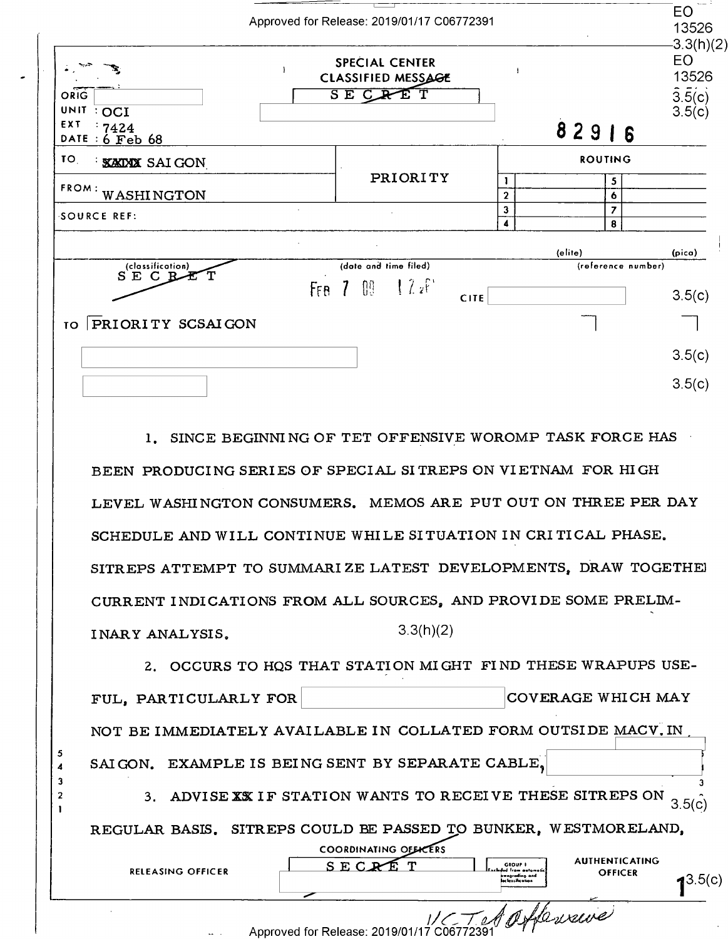|                                                          | Approved for Release: 2019/01/17 C06772391                   |                   |                               | EO<br>13526<br>$-3.3(h)(2)$                             |
|----------------------------------------------------------|--------------------------------------------------------------|-------------------|-------------------------------|---------------------------------------------------------|
| ORIG<br>UNIT<br>$:$ OCI                                  | <b>SPECIAL CENTER</b><br>CLASSIFIED MESSAGE<br>SE CRET       |                   |                               | EO<br>13526<br>$3.\overline{5}(\overline{c})$<br>3.5(c) |
| EXT<br>:7424<br>DATE : 6 Feb 68                          |                                                              |                   | 82916                         |                                                         |
| TO.<br><b>XAIXIX</b> SAIGON                              |                                                              |                   | <b>ROUTING</b>                |                                                         |
| FROM:<br><b>WASHINGTON</b>                               | <b>PRIORITY</b>                                              | 1<br>$\mathbf{2}$ | 5<br>6                        |                                                         |
| <b>SOURCE REF:</b>                                       |                                                              | $\mathbf{3}$<br>4 | $\overline{\phantom{a}}$<br>8 |                                                         |
|                                                          |                                                              |                   | (elite)                       | (pica)                                                  |
| (classification)<br>$S$ $E$<br>$C$ R<br>FFB <sub>7</sub> | (date and time filed)<br>$\frac{1}{2}$ $\frac{2}{5}$<br>[00] |                   | (reference number)            | 3.5(c)                                                  |
| <b>PRIORITY SCSAIGON</b><br><b>TO</b>                    | <b>CITE</b>                                                  |                   |                               |                                                         |
|                                                          |                                                              |                   |                               | 3.5(c)                                                  |
|                                                          |                                                              |                   |                               | 3.5(c)                                                  |

BEEN PRODUCING SERI ES OF SPECIAL SI TREPS ON VIETNAM FOR HIGH LEVEL WASHINGTON CONSUMERS. MEMOS ARE PUT OUT ON THREE PER DAY LEVEL WASHINGTON CONSUMERS. MEMOS ARE PUT OUT ON THREE PER DAY SCHEDULE AND WILL CONTINUE WHILE SITUATION IN CRITICAL PHASE. SITREPS ATTEMPT TO SUMMARIZE LATEST DEVELOPMENTS, DRAW TOGETHEJ SITREPS ATTEMPT TO SUMMARI ZE LATEST DEVELOPMENTS, DRAW TOGETHE] CURRENT INDICATIONS FROM ALL SOURCES, AND PROVIDE SOME PRELIM- CURRENT INDICATIONS FROM ALL SOURCES, AND PROVIDE SOME PRELIM—  $INARY ANALYSIS.$  3.3(h)(2) BEEN PRODUCING SERIES OF SPECIAL SI TREPS ON VIETNAM FOR HIGH

2. OCCURS TO HQS THAT STATION MIGHT FIND THESE WRAPUPS USE-2. OCCURS TO HQS THAT STATION MIGHT FIND THESE WRAPUPS USE- ${\tt FUL, \ PARTICULARLY \ FOR}$   $\hfill {\tt COVERAGE \ WHICH \ MAY}$ NOT BE IMMEDIATELY AVAILABLE IN COLLATED FORM OUTSIDE MACV.IN , which is a SAIGON. EXAMPLE IS BEING SENT BY SEPARATE CABLE, **Latin Construction of the set of the set of the set of the set of the set of the set of the set of the set of the set of the set of the set of the set of the set of the set** 3 3. ADVISE XX IF STATION WANTS TO RECEIVE THESE SITREPS ON  $_{3.5(\hat{\text{c}})}$  $3.5(c)$ REGULAR BASIS. SITREPS COULD BE PASSED TO BUNKER, WESTMORELAND, REGULAR BASIS. SITREPS COULD BE PASSED TO BUNKER, WESTMORELAND, RELEASING OFFICER SECRET GROUP COORDINATING OF BEERS<br>SECRET ENGINEERS wagrading and lcniicotion **EXAMPLE AUTHENTICATING OFFICER** 13.5(c)  $\perp$ SAI GON。 EXAMPLE IS BEING SENT BY SEPARATE CABLE。 RELEASING OFFICER  $\begin{bmatrix} 1 & 0 & 1 \\ 0 & 0 & 1 \end{bmatrix}$  CREASING OFFICER  $\begin{bmatrix} 3.5(0) \\ 4.3.5(0) \end{bmatrix}$ 

5<br>4<br>3<br>2<br>.

J/ c"\_ *I.* d ti- *~,ti»/~*  MCTMJ "WM - Approved for Release: 2019/01/17 C06772391 Approved for Release: 2019/01/17 006772391